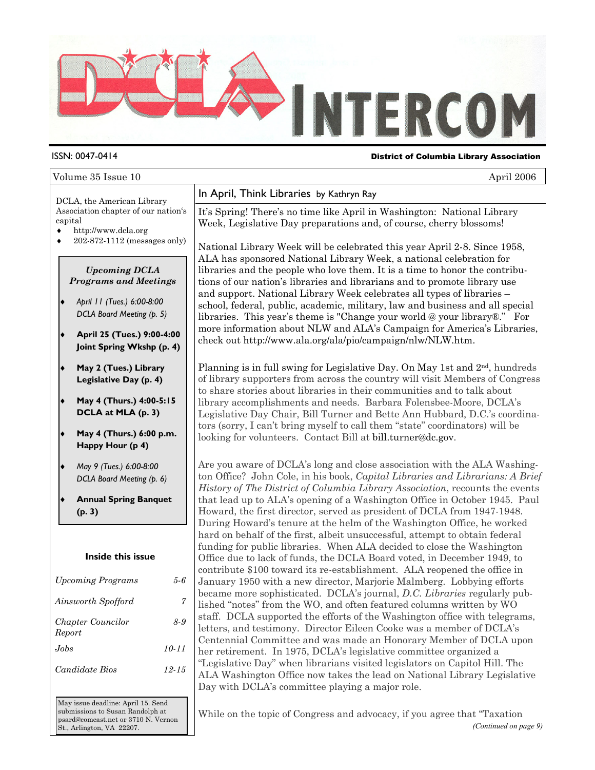

#### ISSN: 0047-0414 District of Columbia Library Association

#### Volume 35 Issue 10 April 2006

DCLA, the American Library Association chapter of our nation's capital

- ♦ http://www.dcla.org
- ♦ 202-872-1112 (messages only)

#### *Upcoming DCLA Programs and Meetings*

- ♦ *April 11 (Tues.) 6:00-8:00 DCLA Board Meeting (p. 5)*
- ♦ **April 25 (Tues.) 9:00-4:00 Joint Spring Wkshp (p. 4)**
- **May 2 (Tues.) Library Legislative Day (p. 4)**
- ♦ **May 4 (Thurs.) 4:00-5:15 DCLA at MLA (p. 3)**
- ♦ **May 4 (Thurs.) 6:00 p.m. Happy Hour (p 4)**
- ♦ *May 9 (Tues.) 6:00-8:00 DCLA Board Meeting (p. 6)*
- **Annual Spring Banquet (p. 3)**

#### **Inside this issue**

| <b>Upcoming Programs</b>    | 5-6       |
|-----------------------------|-----------|
| Ainsworth Spofford          | 7         |
| Chapter Councilor<br>Report | 8-9       |
| Jobs.                       | $10 - 11$ |
| <i>Candidate Bios</i>       | 12-15     |

May issue deadline: April 15. Send submissions to Susan Randolph at psard@comcast.net or 3710 N. Vernon St., Arlington, VA 22207.

### In April, Think Libraries by Kathryn Ray

It's Spring! There's no time like April in Washington: National Library Week, Legislative Day preparations and, of course, cherry blossoms!

National Library Week will be celebrated this year April 2-8. Since 1958, ALA has sponsored National Library Week, a national celebration for libraries and the people who love them. It is a time to honor the contributions of our nation's libraries and librarians and to promote library use and support. National Library Week celebrates all types of libraries – school, federal, public, academic, military, law and business and all special libraries. This year's theme is "Change your world @ your library®." For more information about NLW and ALA's Campaign for America's Libraries, check out http://www.ala.org/ala/pio/campaign/nlw/NLW.htm.

Planning is in full swing for Legislative Day. On May 1st and  $2<sup>nd</sup>$ , hundreds of library supporters from across the country will visit Members of Congress to share stories about libraries in their communities and to talk about library accomplishments and needs. Barbara Folensbee-Moore, DCLA's Legislative Day Chair, Bill Turner and Bette Ann Hubbard, D.C.'s coordinators (sorry, I can't bring myself to call them "state" coordinators) will be looking for volunteers. Contact Bill at bill.turner@dc.gov.

Are you aware of DCLA's long and close association with the ALA Washington Office? John Cole, in his book, *Capital Libraries and Librarians: A Brief History of The District of Columbia Library Association*, recounts the events that lead up to ALA's opening of a Washington Office in October 1945. Paul Howard, the first director, served as president of DCLA from 1947-1948. During Howard's tenure at the helm of the Washington Office, he worked hard on behalf of the first, albeit unsuccessful, attempt to obtain federal funding for public libraries. When ALA decided to close the Washington Office due to lack of funds, the DCLA Board voted, in December 1949, to contribute \$100 toward its re-establishment. ALA reopened the office in January 1950 with a new director, Marjorie Malmberg. Lobbying efforts became more sophisticated. DCLA's journal, *D.C. Libraries* regularly published "notes" from the WO, and often featured columns written by WO staff. DCLA supported the efforts of the Washington office with telegrams, letters, and testimony. Director Eileen Cooke was a member of DCLA's Centennial Committee and was made an Honorary Member of DCLA upon her retirement. In 1975, DCLA's legislative committee organized a "Legislative Day" when librarians visited legislators on Capitol Hill. The ALA Washington Office now takes the lead on National Library Legislative Day with DCLA's committee playing a major role.

While on the topic of Congress and advocacy, if you agree that "Taxation *(Continued on page 9)*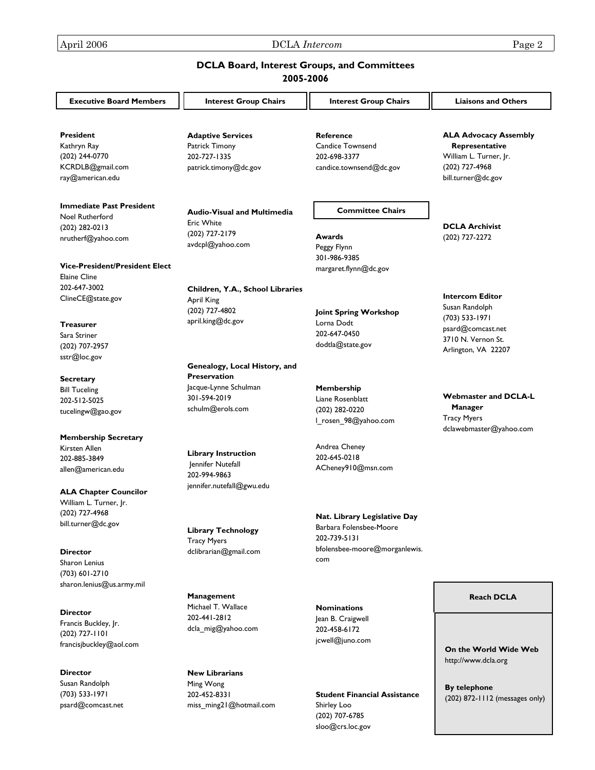Susan Randolph (703) 533-1971 psard@comcast.net Ming Wong 202-452-8331

miss\_ming21@hotmail.com

April 2006 DCLA *Intercom* Page 2

#### **DCLA Board, Interest Groups, and Committees 2005-2006**

| <b>Executive Board Members</b>               | <b>Interest Group Chairs</b>       | <b>Interest Group Chairs</b>  | <b>Liaisons and Others</b>              |
|----------------------------------------------|------------------------------------|-------------------------------|-----------------------------------------|
| <b>President</b>                             | <b>Adaptive Services</b>           | <b>Reference</b>              | <b>ALA Advocacy Assembly</b>            |
| Kathryn Ray                                  | Patrick Timony                     | <b>Candice Townsend</b>       | Representative                          |
| (202) 244-0770                               | 202-727-1335                       | 202-698-3377                  | William L. Turner, Jr.                  |
| KCRDLB@gmail.com                             | patrick.timony@dc.gov              | candice.townsend@dc.gov       | (202) 727-4968                          |
| ray@american.edu                             |                                    |                               | bill.turner@dc.gov                      |
| <b>Immediate Past President</b>              |                                    | <b>Committee Chairs</b>       |                                         |
| Noel Rutherford                              | <b>Audio-Visual and Multimedia</b> |                               |                                         |
| (202) 282-0213                               | <b>Eric White</b>                  |                               | <b>DCLA Archivist</b>                   |
| nrutherf@yahoo.com                           | (202) 727-2179                     | Awards                        | (202) 727-2272                          |
|                                              | avdcpl@yahoo.com                   | Peggy Flynn<br>301-986-9385   |                                         |
| <b>Vice-President/President Elect</b>        |                                    | margaret.flynn@dc.gov         |                                         |
| <b>Elaine Cline</b>                          |                                    |                               |                                         |
| 202-647-3002                                 | Children, Y.A., School Libraries   |                               |                                         |
| ClineCE@state.gov                            | <b>April King</b>                  |                               | <b>Intercom Editor</b>                  |
|                                              | (202) 727-4802                     | Joint Spring Workshop         | Susan Randolph                          |
| <b>Treasurer</b>                             | april.king@dc.gov                  | Lorna Dodt                    | (703) 533-1971                          |
| Sara Striner                                 |                                    | 202-647-0450                  | psard@comcast.net<br>3710 N. Vernon St. |
| (202) 707-2957                               |                                    | dodtla@state.gov              |                                         |
| sstr@loc.gov                                 |                                    |                               | Arlington, VA 22207                     |
|                                              | Genealogy, Local History, and      |                               |                                         |
| <b>Secretary</b>                             | <b>Preservation</b>                |                               |                                         |
| <b>Bill Tuceling</b>                         | Jacque-Lynne Schulman              | Membership                    |                                         |
| 202-512-5025                                 | 301-594-2019                       | Liane Rosenblatt              | <b>Webmaster and DCLA-L</b>             |
| tucelingw@gao.gov                            | schulm@erols.com                   | (202) 282-0220                | Manager                                 |
|                                              |                                    | I rosen 98@yahoo.com          | <b>Tracy Myers</b>                      |
|                                              |                                    |                               | dclawebmaster@yahoo.com                 |
| <b>Membership Secretary</b><br>Kirsten Allen |                                    | Andrea Cheney                 |                                         |
| 202-885-3849                                 | <b>Library Instruction</b>         | 202-645-0218                  |                                         |
| allen@american.edu                           | Jennifer Nutefall                  | ACheney910@msn.com            |                                         |
|                                              | 202-994-9863                       |                               |                                         |
| <b>ALA Chapter Councilor</b>                 | jennifer.nutefall@gwu.edu          |                               |                                         |
| William L. Turner, Jr.                       |                                    |                               |                                         |
| (202) 727-4968                               |                                    |                               |                                         |
| bill.turner@dc.gov                           |                                    | Nat. Library Legislative Day  |                                         |
|                                              | <b>Library Technology</b>          | Barbara Folensbee-Moore       |                                         |
|                                              | <b>Tracy Myers</b>                 | 202-739-5131                  |                                         |
| <b>Director</b>                              | dclibrarian@gmail.com              | bfolensbee-moore@morganlewis. |                                         |
| Sharon Lenius                                |                                    | com                           |                                         |
| (703) 601-2710                               |                                    |                               |                                         |
| sharon.lenius@us.army.mil                    |                                    |                               |                                         |
|                                              | Management                         |                               | <b>Reach DCLA</b>                       |
|                                              | Michael T. Wallace                 | <b>Nominations</b>            |                                         |
| <b>Director</b>                              | 202-441-2812                       | Jean B. Craigwell             |                                         |
| Francis Buckley, Jr.                         | dcla mig@yahoo.com                 | 202-458-6172                  |                                         |
| $(202)$ 727-1101                             |                                    | jcwell@juno.com               |                                         |
| francisjbuckley@aol.com                      |                                    |                               | On the World Wide Web                   |
|                                              |                                    |                               | http://www.dcla.org                     |
| <b>Director</b>                              | <b>New Librarians</b>              |                               |                                         |

**Student Financial Assistance**

Shirley Loo (202) 707-6785 sloo@crs.loc.gov **By telephone**  (202) 872-1112 (messages only)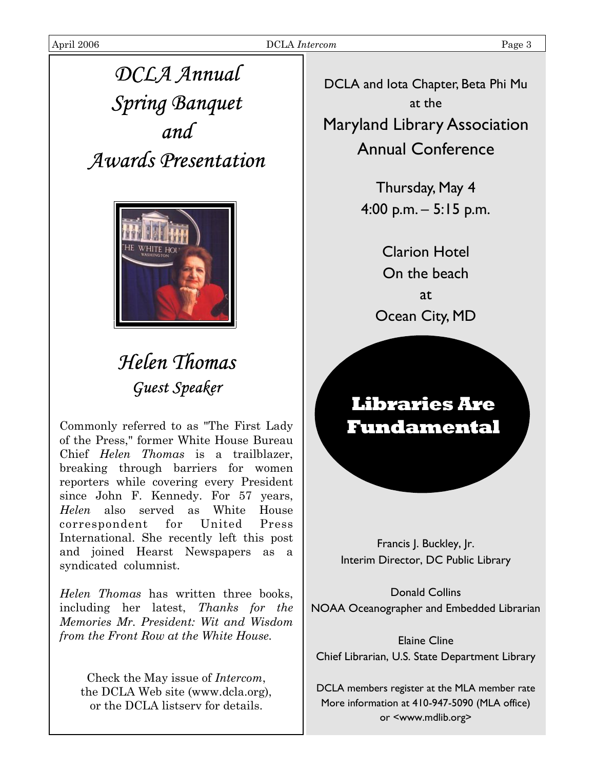# *DCLA Annual Spring Banquet and Awards Presentation*



# *Helen Thomas Guest Speaker*

Commonly referred to as "The First Lady of the Press," former White House Bureau Chief *Helen Thomas* is a trailblazer, breaking through barriers for women reporters while covering every President since John F. Kennedy. For 57 years, *Helen* also served as White House correspondent for United Press International. She recently left this post and joined Hearst Newspapers as a syndicated columnist.

*Helen Thomas* has written three books, including her latest, *Thanks for the Memories Mr. President: Wit and Wisdom from the Front Row at the White House.* 

Check the May issue of *Intercom*, the DCLA Web site (www.dcla.org), or the DCLA listserv for details.

DCLA and Iota Chapter, Beta Phi Mu at the

Maryland Library Association Annual Conference

> Thursday, May 4 4:00 p.m. – 5:15 p.m.

> > Clarion Hotel On the beach at Ocean City, MD

## **Libraries Are Fundamental**

Francis J. Buckley, Jr. Interim Director, DC Public Library

Donald Collins NOAA Oceanographer and Embedded Librarian

Elaine Cline Chief Librarian, U.S. State Department Library

DCLA members register at the MLA member rate More information at 410-947-5090 (MLA office) or <www.mdlib.org>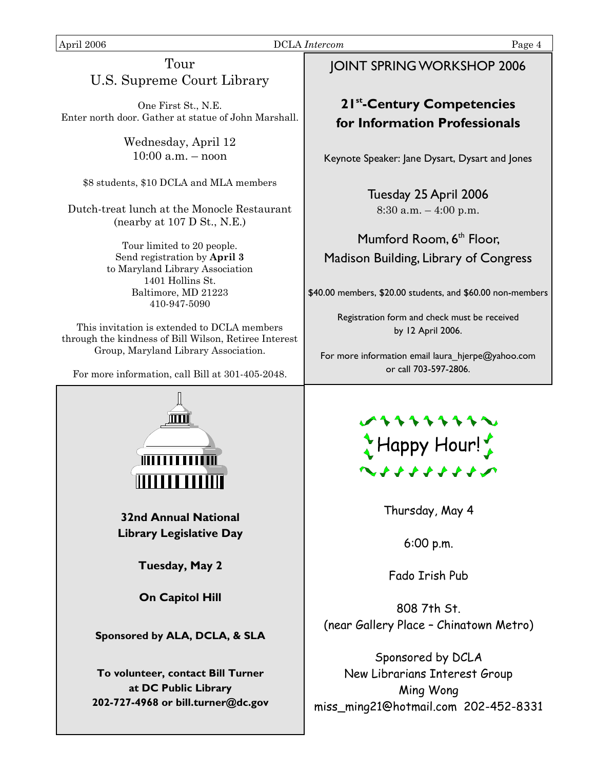#### April 2006 DCLA *Intercom* Page 4

### Tour U.S. Supreme Court Library

One First St., N.E. Enter north door. Gather at statue of John Marshall.

> Wednesday, April 12 10:00 a.m. – noon

\$8 students, \$10 DCLA and MLA members

Dutch-treat lunch at the Monocle Restaurant (nearby at 107 D St., N.E.)

> Tour limited to 20 people. Send registration by **April 3**  to Maryland Library Association 1401 Hollins St. Baltimore, MD 21223 410-947-5090

This invitation is extended to DCLA members through the kindness of Bill Wilson, Retiree Interest Group, Maryland Library Association.

For more information, call Bill at 301-405-2048.



### JOINT SPRING WORKSHOP 2006

### **21st-Century Competencies for Information Professionals**

Keynote Speaker: Jane Dysart, Dysart and Jones

Tuesday 25 April 2006  $8:30$  a.m.  $-4:00$  p.m.

### Mumford Room, 6<sup>th</sup> Floor, Madison Building, Library of Congress

\$40.00 members, \$20.00 students, and \$60.00 non-members

Registration form and check must be received by 12 April 2006.

For more information email laura hjerpe@yahoo.com or call 703-597-2806.



Thursday, May 4

6:00 p.m.

Fado Irish Pub

808 7th St. (near Gallery Place – Chinatown Metro)

Sponsored by DCLA New Librarians Interest Group Ming Wong miss\_ming21@hotmail.com 202-452-8331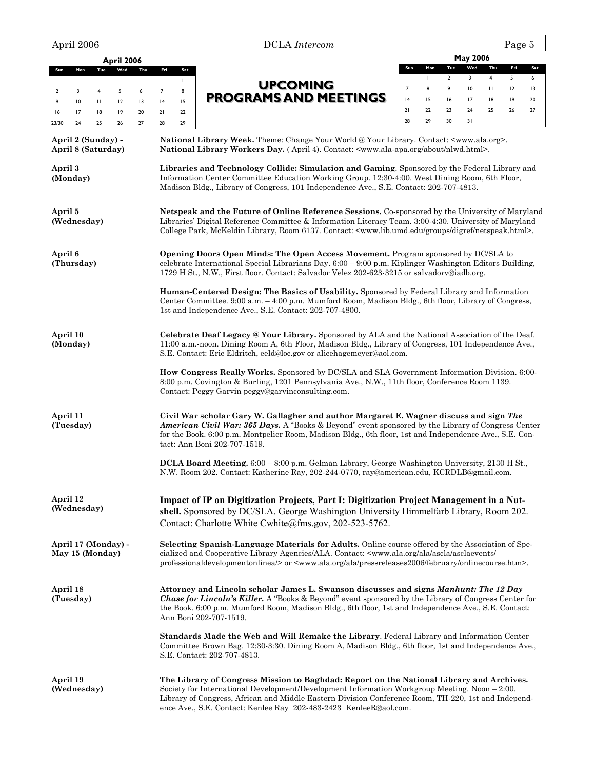| April 2006                                      | Page 5<br><b>DCLA</b> Intercom                                                                                                                                                                                                                                                                                                                                         |
|-------------------------------------------------|------------------------------------------------------------------------------------------------------------------------------------------------------------------------------------------------------------------------------------------------------------------------------------------------------------------------------------------------------------------------|
| April 2006                                      | <b>May 2006</b>                                                                                                                                                                                                                                                                                                                                                        |
| Tue<br>Wed<br>Thu<br>Mon<br>Sun                 | Wed<br>Thu<br>Fri<br>Sun<br>Mon<br>Tue<br>Sat<br>Fri<br>Sat<br>$\overline{2}$<br>3<br>$\overline{4}$<br>5<br>$\mathbf{I}$<br>6<br>$\mathbf{I}$                                                                                                                                                                                                                         |
| 5<br>6<br>$\overline{2}$<br>3<br>$\overline{4}$ | <b>UPCOMING</b><br>9<br>$\mathsf{I}0$<br>$\mathbf{H}$<br>$\overline{7}$<br>8<br>12<br>13<br>$\overline{7}$<br>8                                                                                                                                                                                                                                                        |
| 10<br>12<br>13<br>9<br>$\mathbf{H}$             | <b>PROGRAMS AND MEETINGS</b><br>18<br> 4<br>15<br>16<br>17<br> 9<br>20<br> 4<br>15                                                                                                                                                                                                                                                                                     |
| 17<br>18<br>19<br>20<br>16<br>25<br>26<br>27    | 21<br>22<br>23<br>24<br>25<br>27<br>26<br>21<br>22<br>28<br>29<br>30<br>31<br>28<br>29                                                                                                                                                                                                                                                                                 |
| 23/30<br>24                                     |                                                                                                                                                                                                                                                                                                                                                                        |
| April 2 (Sunday) -<br>April 8 (Saturday)        | National Library Week. Theme: Change Your World @ Your Library. Contact: <www.ala.org>.<br/>National Library Workers Day. (April 4). Contact: <www.ala-apa.org about="" nlwd.html="">.</www.ala-apa.org></www.ala.org>                                                                                                                                                 |
| April 3<br>(Monday)                             | Libraries and Technology Collide: Simulation and Gaming. Sponsored by the Federal Library and<br>Information Center Committee Education Working Group. 12:30-4:00. West Dining Room, 6th Floor,<br>Madison Bldg., Library of Congress, 101 Independence Ave., S.E. Contact: 202-707-4813.                                                                              |
| April 5<br>(Wednesday)                          | Netspeak and the Future of Online Reference Sessions. Co-sponsored by the University of Maryland<br>Libraries' Digital Reference Committee & Information Literacy Team. 3:00-4:30. University of Maryland<br>College Park, McKeldin Library, Room 6137. Contact: <www.lib.umd.edu digref="" groups="" netspeak.html="">.</www.lib.umd.edu>                             |
| April 6<br>(Thursday)                           | Opening Doors Open Minds: The Open Access Movement. Program sponsored by DC/SLA to<br>celebrate International Special Librarians Day. $6.00 - 9.00$ p.m. Kiplinger Washington Editors Building,<br>1729 H St., N.W., First floor. Contact: Salvador Velez 202-623-3215 or salvadorv@iadb.org.                                                                          |
|                                                 | Human-Centered Design: The Basics of Usability. Sponsored by Federal Library and Information<br>Center Committee. 9:00 a.m. - 4:00 p.m. Mumford Room, Madison Bldg., 6th floor, Library of Congress,<br>1st and Independence Ave., S.E. Contact: 202-707-4800.                                                                                                         |
| April 10<br>(Monday)                            | Celebrate Deaf Legacy @ Your Library. Sponsored by ALA and the National Association of the Deaf.<br>11:00 a.m.-noon. Dining Room A, 6th Floor, Madison Bldg., Library of Congress, 101 Independence Ave.,<br>S.E. Contact: Eric Eldritch, eeld@loc.gov or alicehagemeyer@aol.com.                                                                                      |
|                                                 | How Congress Really Works. Sponsored by DC/SLA and SLA Government Information Division. 6:00-<br>8:00 p.m. Covington & Burling, 1201 Pennsylvania Ave., N.W., 11th floor, Conference Room 1139.<br>Contact: Peggy Garvin peggy@garvinconsulting.com.                                                                                                                   |
| April 11<br>(Tuesday)                           | Civil War scholar Gary W. Gallagher and author Margaret E. Wagner discuss and sign The<br>American Civil War: 365 Days. A "Books & Beyond" event sponsored by the Library of Congress Center<br>for the Book. 6:00 p.m. Montpelier Room, Madison Bldg., 6th floor, 1st and Independence Ave., S.E. Con-<br>tact: Ann Boni 202-707-1519.                                |
|                                                 | DCLA Board Meeting. 6:00 – 8:00 p.m. Gelman Library, George Washington University, 2130 H St.,<br>N.W. Room 202. Contact: Katherine Ray, 202-244-0770, ray@american.edu, KCRDLB@gmail.com.                                                                                                                                                                             |
| April 12<br>(Wednesday)                         | Impact of IP on Digitization Projects, Part I: Digitization Project Management in a Nut-<br>shell. Sponsored by DC/SLA. George Washington University Himmelfarb Library, Room 202.<br>Contact: Charlotte White Cwhite@fms.gov, 202-523-5762.                                                                                                                           |
| April 17 (Monday) -<br>May 15 (Monday)          | Selecting Spanish-Language Materials for Adults. Online course offered by the Association of Spe-<br>cialized and Cooperative Library Agencies/ALA. Contact: <www.ala.org <br="" ala="" ascla="" asclaevents="">professionaldevelopmentonlinea/&gt; or <www.ala.org ala="" february="" onlinecourse.htm="" pressreleases2006="">.</www.ala.org></www.ala.org>          |
| April 18<br>(Tuesday)                           | Attorney and Lincoln scholar James L. Swanson discusses and signs Manhunt: The 12 Day<br><b>Chase for Lincoln's Killer.</b> A "Books & Beyond" event sponsored by the Library of Congress Center for<br>the Book. 6:00 p.m. Mumford Room, Madison Bldg., 6th floor, 1st and Independence Ave., S.E. Contact:<br>Ann Boni 202-707-1519.                                 |
|                                                 | Standards Made the Web and Will Remake the Library. Federal Library and Information Center<br>Committee Brown Bag. 12:30-3:30. Dining Room A, Madison Bldg., 6th floor, 1st and Independence Ave.,<br>S.E. Contact: 202-707-4813.                                                                                                                                      |
| April 19<br>(Wednesday)                         | The Library of Congress Mission to Baghdad: Report on the National Library and Archives.<br>Society for International Development/Development Information Workgroup Meeting. Noon - 2:00.<br>Library of Congress, African and Middle Eastern Division Conference Room, TH-220, 1st and Independ-<br>ence Ave., S.E. Contact: Kenlee Ray 202-483-2423 Kenlee R@aol.com. |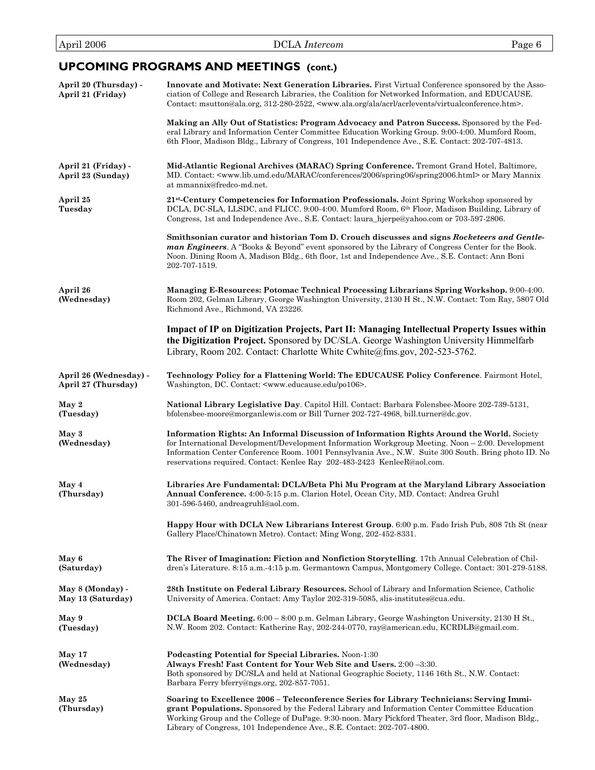### **UPCOMING PROGRAMS AND MEETINGS (cont.)**

| April 20 (Thursday) -<br>April 21 (Friday)    | Innovate and Motivate: Next Generation Libraries. First Virtual Conference sponsored by the Asso-<br>ciation of College and Research Libraries, the Coalition for Networked Information, and EDUCAUSE.<br>Contact: msutton@ala.org, 312-280-2522, <www.ala.org acrl="" acrlevents="" ala="" virtualconference.htm="">.</www.ala.org>                                                 |
|-----------------------------------------------|--------------------------------------------------------------------------------------------------------------------------------------------------------------------------------------------------------------------------------------------------------------------------------------------------------------------------------------------------------------------------------------|
|                                               | Making an Ally Out of Statistics: Program Advocacy and Patron Success. Sponsored by the Fed-<br>eral Library and Information Center Committee Education Working Group. 9:00-4:00. Mumford Room,<br>6th Floor, Madison Bldg., Library of Congress, 101 Independence Ave., S.E. Contact: 202-707-4813.                                                                                 |
| April 21 (Friday) -<br>April 23 (Sunday)      | Mid-Atlantic Regional Archives (MARAC) Spring Conference. Tremont Grand Hotel, Baltimore,<br>MD. Contact: <www.lib.umd.edu 2006="" conferences="" marac="" spring06="" spring2006.html=""> or Mary Mannix<br/>at mmannix@fredco-md.net.</www.lib.umd.edu>                                                                                                                            |
| April 25<br>Tuesday                           | 21st-Century Competencies for Information Professionals. Joint Spring Workshop sponsored by<br>DCLA, DC-SLA, LLSDC, and FLICC. 9:00-4:00. Mumford Room, 6th Floor, Madison Building, Library of<br>Congress, 1st and Independence Ave., S.E. Contact: laura_hjerpe@yahoo.com or 703-597-2806.                                                                                        |
|                                               | Smithsonian curator and historian Tom D. Crouch discusses and signs Rocketeers and Gentle-<br><b>man Engineers.</b> A "Books & Beyond" event sponsored by the Library of Congress Center for the Book.<br>Noon. Dining Room A, Madison Bldg., 6th floor, 1st and Independence Ave., S.E. Contact: Ann Boni<br>202-707-1519.                                                          |
| April 26<br>(Wednesday)                       | Managing E-Resources: Potomac Technical Processing Librarians Spring Workshop. 9:00-4:00.<br>Room 202, Gelman Library, George Washington University, 2130 H St., N.W. Contact: Tom Ray, 5807 Old<br>Richmond Ave., Richmond, VA 23226.                                                                                                                                               |
|                                               | Impact of IP on Digitization Projects, Part II: Managing Intellectual Property Issues within<br>the Digitization Project. Sponsored by DC/SLA. George Washington University Himmelfarb<br>Library, Room 202. Contact: Charlotte White Cwhite@fms.gov, 202-523-5762.                                                                                                                  |
| April 26 (Wednesday) -<br>April 27 (Thursday) | Technology Policy for a Flattening World: The EDUCAUSE Policy Conference. Fairmont Hotel,<br>Washington, DC. Contact: <www.educause.edu po106="">.</www.educause.edu>                                                                                                                                                                                                                |
| May 2<br>(Tuesday)                            | National Library Legislative Day. Capitol Hill. Contact: Barbara Folensbee-Moore 202-739-5131,<br>bfolensbee-moore@morganlewis.com or Bill Turner 202-727-4968, bill.turner@dc.gov.                                                                                                                                                                                                  |
| May 3<br>(Wednesday)                          | Information Rights: An Informal Discussion of Information Rights Around the World. Society<br>for International Development/Development Information Workgroup Meeting. Noon – 2:00. Development<br>Information Center Conference Room. 1001 Pennsylvania Ave., N.W. Suite 300 South. Bring photo ID. No<br>reservations required. Contact: Kenlee Ray 202-483-2423 Kenlee R@aol.com. |
| May 4<br>(Thursday)                           | Libraries Are Fundamental: DCLA/Beta Phi Mu Program at the Maryland Library Association<br>Annual Conference. 4:00-5:15 p.m. Clarion Hotel, Ocean City, MD. Contact: Andrea Gruhl<br>301-596-5460, andreagruhl@aol.com.                                                                                                                                                              |
|                                               | <b>Happy Hour with DCLA New Librarians Interest Group.</b> 6:00 p.m. Fado Irish Pub, 808 7th St (near<br>Gallery Place/Chinatown Metro). Contact: Ming Wong, 202-452-8331.                                                                                                                                                                                                           |
| May 6<br>(Saturday)                           | The River of Imagination: Fiction and Nonfiction Storytelling. 17th Annual Celebration of Chil-<br>dren's Literature. 8:15 a.m.-4:15 p.m. Germantown Campus, Montgomery College. Contact: 301-279-5188.                                                                                                                                                                              |
| May 8 (Monday) -<br>May 13 (Saturday)         | 28th Institute on Federal Library Resources. School of Library and Information Science, Catholic<br>University of America. Contact: Amy Taylor 202-319-5085, slis-institutes@cua.edu.                                                                                                                                                                                                |
| May 9<br>(Tuesday)                            | DCLA Board Meeting. 6:00 – 8:00 p.m. Gelman Library, George Washington University, 2130 H St.,<br>N.W. Room 202. Contact: Katherine Ray, 202-244-0770, ray@american.edu, KCRDLB@gmail.com.                                                                                                                                                                                           |
| May 17<br>(Wednesday)                         | Podcasting Potential for Special Libraries. Noon-1:30<br>Always Fresh! Fast Content for Your Web Site and Users. 2:00 -3:30.<br>Both sponsored by DC/SLA and held at National Geographic Society, 1146 16th St., N.W. Contact:<br>Barbara Ferry bferry@ngs.org, 202-857-7051.                                                                                                        |
| May 25<br>(Thursday)                          | Soaring to Excellence 2006 - Teleconference Series for Library Technicians: Serving Immi-<br>grant Populations. Sponsored by the Federal Library and Information Center Committee Education<br>Working Group and the College of DuPage. 9:30-noon. Mary Pickford Theater, 3rd floor, Madison Bldg.,<br>Library of Congress, 101 Independence Ave., S.E. Contact: 202-707-4800.       |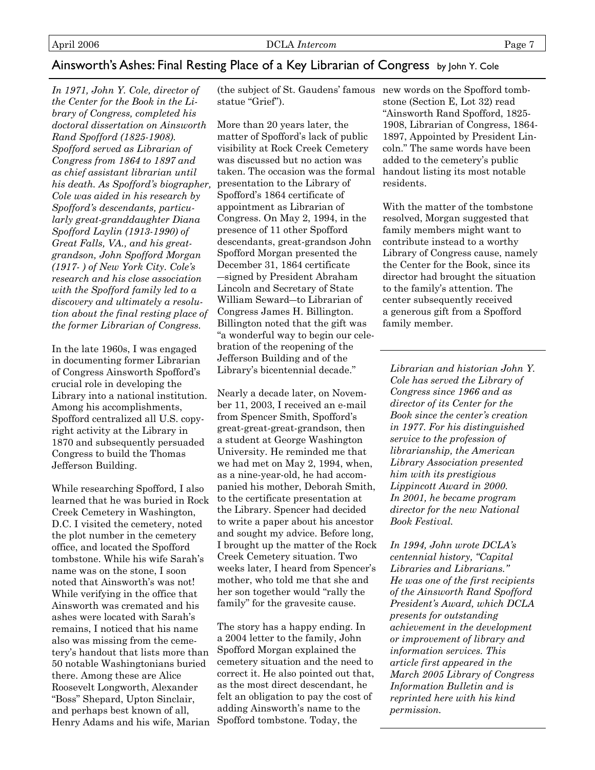### Ainsworth's Ashes: Final Resting Place of a Key Librarian of Congress by John Y. Cole

*In 1971, John Y. Cole, director of the Center for the Book in the Library of Congress, completed his doctoral dissertation on Ainsworth Rand Spofford (1825-1908). Spofford served as Librarian of Congress from 1864 to 1897 and as chief assistant librarian until his death. As Spofford's biographer, Cole was aided in his research by Spofford's descendants, particularly great-granddaughter Diana Spofford Laylin (1913-1990) of Great Falls, VA., and his greatgrandson, John Spofford Morgan (1917- ) of New York City. Cole's research and his close association with the Spofford family led to a discovery and ultimately a resolution about the final resting place of the former Librarian of Congress.* 

In the late 1960s, I was engaged in documenting former Librarian of Congress Ainsworth Spofford's crucial role in developing the Library into a national institution. Among his accomplishments, Spofford centralized all U.S. copyright activity at the Library in 1870 and subsequently persuaded Congress to build the Thomas Jefferson Building.

While researching Spofford, I also learned that he was buried in Rock Creek Cemetery in Washington, D.C. I visited the cemetery, noted the plot number in the cemetery office, and located the Spofford tombstone. While his wife Sarah's name was on the stone, I soon noted that Ainsworth's was not! While verifying in the office that Ainsworth was cremated and his ashes were located with Sarah's remains, I noticed that his name also was missing from the cemetery's handout that lists more than 50 notable Washingtonians buried there. Among these are Alice Roosevelt Longworth, Alexander "Boss" Shepard, Upton Sinclair, and perhaps best known of all, Henry Adams and his wife, Marian

(the subject of St. Gaudens' famous new words on the Spofford tombstatue "Grief").

More than 20 years later, the matter of Spofford's lack of public visibility at Rock Creek Cemetery was discussed but no action was taken. The occasion was the formal presentation to the Library of Spofford's 1864 certificate of appointment as Librarian of Congress. On May 2, 1994, in the presence of 11 other Spofford descendants, great-grandson John Spofford Morgan presented the December 31, 1864 certificate ―signed by President Abraham Lincoln and Secretary of State William Seward―to Librarian of Congress James H. Billington. Billington noted that the gift was "a wonderful way to begin our celebration of the reopening of the Jefferson Building and of the Library's bicentennial decade."

Nearly a decade later, on November 11, 2003, I received an e-mail from Spencer Smith, Spofford's great-great-great-grandson, then a student at George Washington University. He reminded me that we had met on May 2, 1994, when, as a nine-year-old, he had accompanied his mother, Deborah Smith, to the certificate presentation at the Library. Spencer had decided to write a paper about his ancestor and sought my advice. Before long, I brought up the matter of the Rock Creek Cemetery situation. Two weeks later, I heard from Spencer's mother, who told me that she and her son together would "rally the family" for the gravesite cause.

The story has a happy ending. In a 2004 letter to the family, John Spofford Morgan explained the cemetery situation and the need to correct it. He also pointed out that, as the most direct descendant, he felt an obligation to pay the cost of adding Ainsworth's name to the Spofford tombstone. Today, the

stone (Section E, Lot 32) read "Ainsworth Rand Spofford, 1825- 1908, Librarian of Congress, 1864- 1897, Appointed by President Lincoln." The same words have been added to the cemetery's public handout listing its most notable residents.

With the matter of the tombstone resolved, Morgan suggested that family members might want to contribute instead to a worthy Library of Congress cause, namely the Center for the Book, since its director had brought the situation to the family's attention. The center subsequently received a generous gift from a Spofford family member.

*Librarian and historian John Y. Cole has served the Library of Congress since 1966 and as director of its Center for the Book since the center's creation in 1977. For his distinguished service to the profession of librarianship, the American Library Association presented him with its prestigious Lippincott Award in 2000. In 2001, he became program director for the new National Book Festival.* 

*In 1994, John wrote DCLA's centennial history, "Capital Libraries and Librarians." He was one of the first recipients of the Ainsworth Rand Spofford President's Award, which DCLA presents for outstanding achievement in the development or improvement of library and information services. This article first appeared in the March 2005 Library of Congress Information Bulletin and is reprinted here with his kind permission.*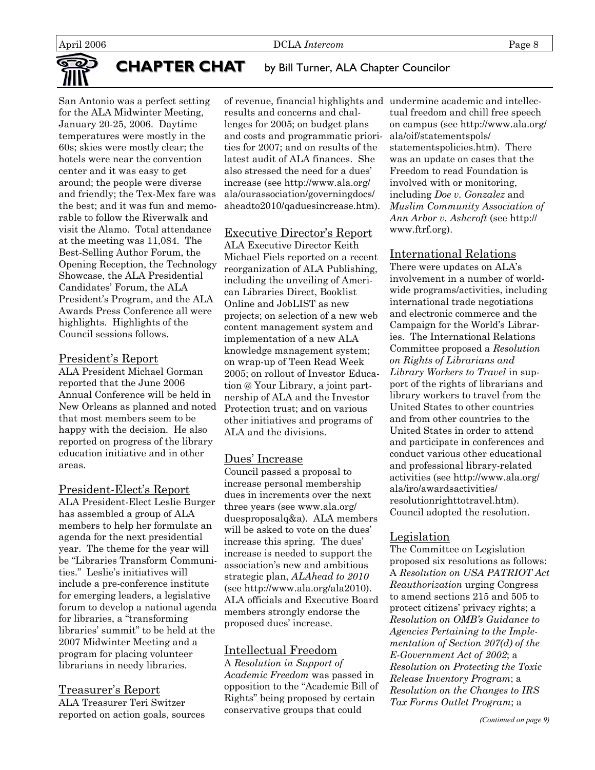

### **CHAPTER CHAT** by Bill Turner, ALA Chapter Councilor

San Antonio was a perfect setting for the ALA Midwinter Meeting, January 20-25, 2006. Daytime temperatures were mostly in the 60s; skies were mostly clear; the hotels were near the convention center and it was easy to get around; the people were diverse and friendly; the Tex-Mex fare was the best; and it was fun and memorable to follow the Riverwalk and visit the Alamo. Total attendance at the meeting was 11,084. The Best-Selling Author Forum, the Opening Reception, the Technology Showcase, the ALA Presidential Candidates' Forum, the ALA President's Program, and the ALA Awards Press Conference all were highlights. Highlights of the Council sessions follows.

#### President's Report

ALA President Michael Gorman reported that the June 2006 Annual Conference will be held in New Orleans as planned and noted that most members seem to be happy with the decision. He also reported on progress of the library education initiative and in other areas.

#### President-Elect's Report

ALA President-Elect Leslie Burger has assembled a group of ALA members to help her formulate an agenda for the next presidential year. The theme for the year will be "Libraries Transform Communities." Leslie's initiatives will include a pre-conference institute for emerging leaders, a legislative forum to develop a national agenda for libraries, a "transforming libraries' summit" to be held at the 2007 Midwinter Meeting and a program for placing volunteer librarians in needy libraries.

#### Treasurer's Report

ALA Treasurer Teri Switzer reported on action goals, sources

of revenue, financial highlights and undermine academic and intellecresults and concerns and challenges for 2005; on budget plans and costs and programmatic priorities for 2007; and on results of the latest audit of ALA finances. She also stressed the need for a dues' increase (see http://www.ala.org/ ala/ourassociation/governingdocs/ aheadto2010/qaduesincrease.htm).

#### Executive Director's Report

ALA Executive Director Keith Michael Fiels reported on a recent reorganization of ALA Publishing, including the unveiling of American Libraries Direct, Booklist Online and JobLIST as new projects; on selection of a new web content management system and implementation of a new ALA knowledge management system; on wrap-up of Teen Read Week 2005; on rollout of Investor Education @ Your Library, a joint partnership of ALA and the Investor Protection trust; and on various other initiatives and programs of ALA and the divisions.

#### Dues' Increase

Council passed a proposal to increase personal membership dues in increments over the next three years (see www.ala.org/ duesproposalq&a). ALA members will be asked to vote on the dues' increase this spring. The dues' increase is needed to support the association's new and ambitious strategic plan, *ALAhead to 2010*  (see http://www.ala.org/ala2010). ALA officials and Executive Board members strongly endorse the proposed dues' increase.

#### Intellectual Freedom

A *Resolution in Support of Academic Freedom* was passed in opposition to the "Academic Bill of Rights" being proposed by certain conservative groups that could

tual freedom and chill free speech on campus (see http://www.ala.org/ ala/oif/statementspols/ statementspolicies.htm). There was an update on cases that the Freedom to read Foundation is involved with or monitoring, including *Doe v. Gonzalez* and *Muslim Community Association of Ann Arbor v. Ashcroft* (see http:// www.ftrf.org).

#### International Relations

There were updates on ALA's involvement in a number of worldwide programs/activities, including international trade negotiations and electronic commerce and the Campaign for the World's Libraries. The International Relations Committee proposed a *Resolution on Rights of Librarians and Library Workers to Travel* in support of the rights of librarians and library workers to travel from the United States to other countries and from other countries to the United States in order to attend and participate in conferences and conduct various other educational and professional library-related activities (see http://www.ala.org/ ala/iro/awardsactivities/ resolutionrighttotravel.htm). Council adopted the resolution.

#### Legislation

The Committee on Legislation proposed six resolutions as follows: A *Resolution on USA PATRIOT Act Reauthorization* urging Congress to amend sections 215 and 505 to protect citizens' privacy rights; a *Resolution on OMB's Guidance to Agencies Pertaining to the Implementation of Section 207(d) of the E-Government Act of 2002*; a *Resolution on Protecting the Toxic Release Inventory Program*; a *Resolution on the Changes to IRS Tax Forms Outlet Program*; a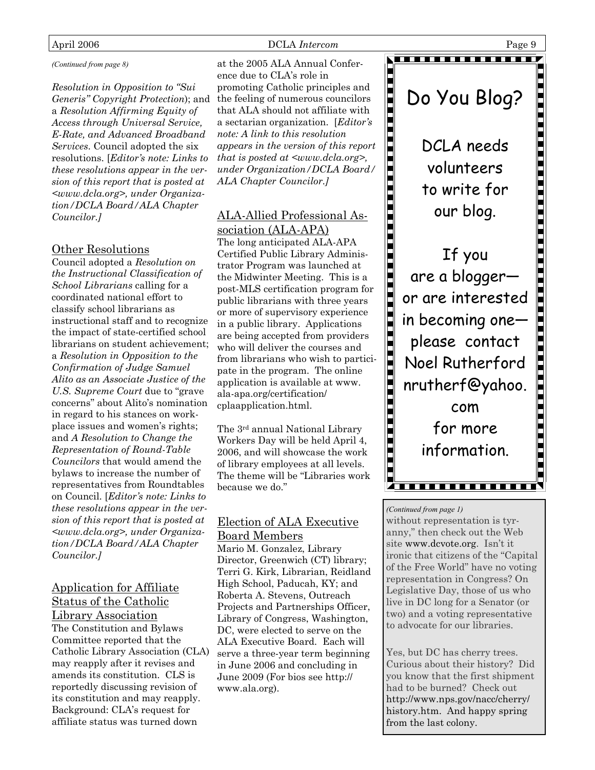#### April 2006 **DCLA** Intercom **Page 9**

#### *(Continued from page 8)*

*Resolution in Opposition to "Sui Generis" Copyright Protection*); and the feeling of numerous councilors a *Resolution Affirming Equity of Access through Universal Service, E-Rate, and Advanced Broadband Services*. Council adopted the six resolutions. [*Editor's note: Links to these resolutions appear in the version of this report that is posted at <www.dcla.org>, under Organization/DCLA Board/ALA Chapter Councilor.]*

#### Other Resolutions

Council adopted a *Resolution on the Instructional Classification of School Librarians* calling for a coordinated national effort to classify school librarians as instructional staff and to recognize the impact of state-certified school librarians on student achievement; a *Resolution in Opposition to the Confirmation of Judge Samuel Alito as an Associate Justice of the U.S. Supreme Court* due to "grave concerns" about Alito's nomination in regard to his stances on workplace issues and women's rights; and *A Resolution to Change the Representation of Round-Table Councilors* that would amend the bylaws to increase the number of representatives from Roundtables on Council. [*Editor's note: Links to these resolutions appear in the version of this report that is posted at <www.dcla.org>, under Organization/DCLA Board/ALA Chapter Councilor.]*

#### Application for Affiliate Status of the Catholic Library Association

The Constitution and Bylaws Committee reported that the Catholic Library Association (CLA) may reapply after it revises and amends its constitution. CLS is reportedly discussing revision of its constitution and may reapply. Background: CLA's request for affiliate status was turned down

at the 2005 ALA Annual Conference due to CLA's role in promoting Catholic principles and that ALA should not affiliate with a sectarian organization. [*Editor's note: A link to this resolution appears in the version of this report that is posted at <www.dcla.org>, under Organization/DCLA Board/ ALA Chapter Councilor.]*

### ALA-Allied Professional Association (ALA-APA)

The long anticipated ALA-APA Certified Public Library Administrator Program was launched at the Midwinter Meeting. This is a post-MLS certification program for public librarians with three years or more of supervisory experience in a public library. Applications are being accepted from providers who will deliver the courses and from librarians who wish to participate in the program. The online application is available at www. ala-apa.org/certification/ cplaapplication.html.

The 3rd annual National Library Workers Day will be held April 4, 2006, and will showcase the work of library employees at all levels. The theme will be "Libraries work because we do."

#### Election of ALA Executive Board Members

Mario M. Gonzalez, Library Director, Greenwich (CT) library; Terri G. Kirk, Librarian, Reidland High School, Paducah, KY; and Roberta A. Stevens, Outreach Projects and Partnerships Officer, Library of Congress, Washington, DC, were elected to serve on the ALA Executive Board. Each will serve a three-year term beginning in June 2006 and concluding in June 2009 (For bios see http:// www.ala.org).



. . . . . . . . . . .

DCLA needs volunteers to write for our blog.

If you are a blogger― or are interested in becoming one― please contact Noel Rutherford nrutherf@yahoo. com for more information.

#### *(Continued from page 1)*

without representation is tyranny," then check out the Web site www.dcvote.org. Isn't it ironic that citizens of the "Capital of the Free World" have no voting representation in Congress? On Legislative Day, those of us who live in DC long for a Senator (or two) and a voting representative to advocate for our libraries.

F<del>ransas sociado do</del> 25

Yes, but DC has cherry trees. Curious about their history? Did you know that the first shipment had to be burned? Check out http://www.nps.gov/nacc/cherry/ history.htm. And happy spring from the last colony.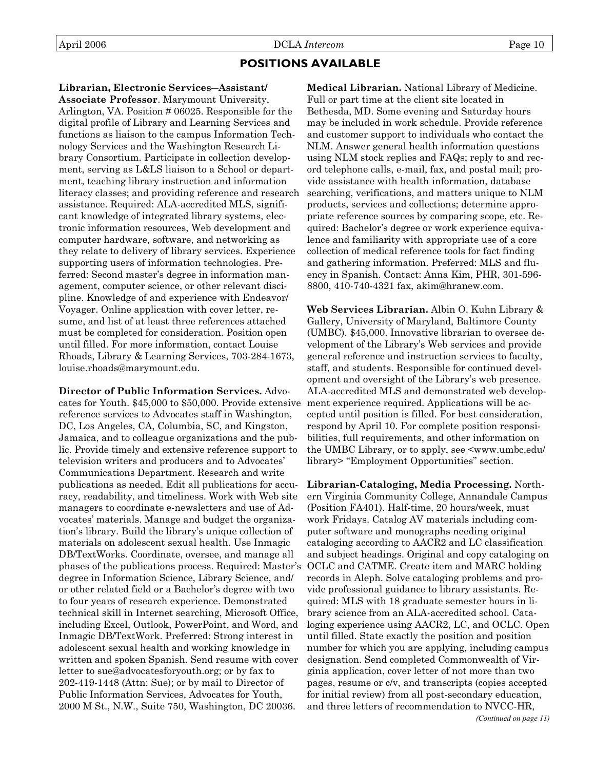### **POSITIONS AVAILABLE**

**Librarian, Electronic Services―Assistant/ Associate Professor**. Marymount University, Arlington, VA. Position # 06025. Responsible for the digital profile of Library and Learning Services and functions as liaison to the campus Information Technology Services and the Washington Research Library Consortium. Participate in collection development, serving as L&LS liaison to a School or department, teaching library instruction and information literacy classes; and providing reference and research assistance. Required: ALA-accredited MLS, significant knowledge of integrated library systems, electronic information resources, Web development and computer hardware, software, and networking as they relate to delivery of library services. Experience supporting users of information technologies. Preferred: Second master's degree in information management, computer science, or other relevant discipline. Knowledge of and experience with Endeavor/ Voyager. Online application with cover letter, resume, and list of at least three references attached must be completed for consideration. Position open until filled. For more information, contact Louise Rhoads, Library & Learning Services, 703-284-1673, louise.rhoads@marymount.edu.

**Director of Public Information Services.** Advocates for Youth. \$45,000 to \$50,000. Provide extensive reference services to Advocates staff in Washington, DC, Los Angeles, CA, Columbia, SC, and Kingston, Jamaica, and to colleague organizations and the public. Provide timely and extensive reference support to television writers and producers and to Advocates' Communications Department. Research and write publications as needed. Edit all publications for accuracy, readability, and timeliness. Work with Web site managers to coordinate e-newsletters and use of Advocates' materials. Manage and budget the organization's library. Build the library's unique collection of materials on adolescent sexual health. Use Inmagic DB/TextWorks. Coordinate, oversee, and manage all phases of the publications process. Required: Master's degree in Information Science, Library Science, and/ or other related field or a Bachelor's degree with two to four years of research experience. Demonstrated technical skill in Internet searching, Microsoft Office, including Excel, Outlook, PowerPoint, and Word, and Inmagic DB/TextWork. Preferred: Strong interest in adolescent sexual health and working knowledge in written and spoken Spanish. Send resume with cover letter to sue@advocatesforyouth.org; or by fax to 202-419-1448 (Attn: Sue); or by mail to Director of Public Information Services, Advocates for Youth, 2000 M St., N.W., Suite 750, Washington, DC 20036.

**Medical Librarian.** National Library of Medicine. Full or part time at the client site located in Bethesda, MD. Some evening and Saturday hours may be included in work schedule. Provide reference and customer support to individuals who contact the NLM. Answer general health information questions using NLM stock replies and FAQs; reply to and record telephone calls, e-mail, fax, and postal mail; provide assistance with health information, database searching, verifications, and matters unique to NLM products, services and collections; determine appropriate reference sources by comparing scope, etc. Required: Bachelor's degree or work experience equivalence and familiarity with appropriate use of a core collection of medical reference tools for fact finding and gathering information. Preferred: MLS and fluency in Spanish. Contact: Anna Kim, PHR, 301-596- 8800, 410-740-4321 fax, akim@hranew.com.

**Web Services Librarian.** Albin O. Kuhn Library & Gallery, University of Maryland, Baltimore County (UMBC). \$45,000. Innovative librarian to oversee development of the Library's Web services and provide general reference and instruction services to faculty, staff, and students. Responsible for continued development and oversight of the Library's web presence. ALA-accredited MLS and demonstrated web development experience required. Applications will be accepted until position is filled. For best consideration, respond by April 10. For complete position responsibilities, full requirements, and other information on the UMBC Library, or to apply, see <www.umbc.edu/ library> "Employment Opportunities" section.

**Librarian-Cataloging, Media Processing.** Northern Virginia Community College, Annandale Campus (Position FA401). Half-time, 20 hours/week, must work Fridays. Catalog AV materials including computer software and monographs needing original cataloging according to AACR2 and LC classification and subject headings. Original and copy cataloging on OCLC and CATME. Create item and MARC holding records in Aleph. Solve cataloging problems and provide professional guidance to library assistants. Required: MLS with 18 graduate semester hours in library science from an ALA-accredited school. Cataloging experience using AACR2, LC, and OCLC. Open until filled. State exactly the position and position number for which you are applying, including campus designation. Send completed Commonwealth of Virginia application, cover letter of not more than two pages, resume or c/v, and transcripts (copies accepted for initial review) from all post-secondary education, and three letters of recommendation to NVCC-HR,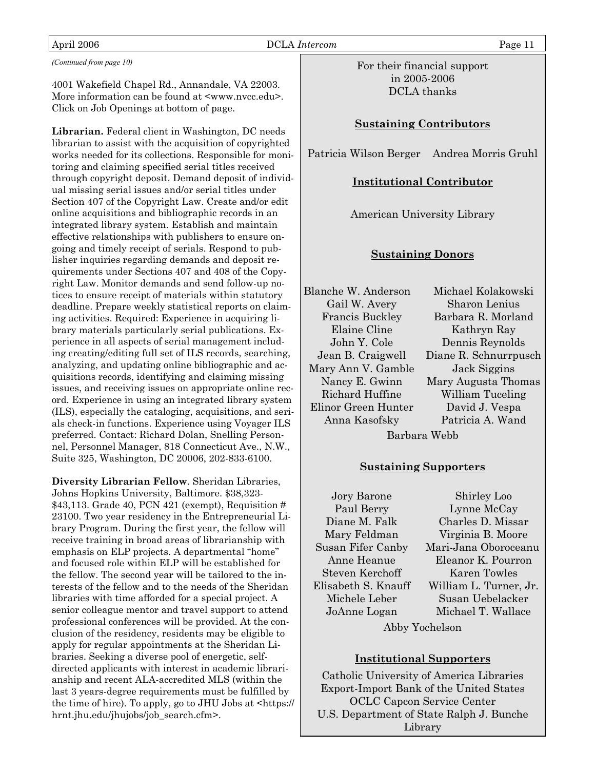#### April 2006 DCLA *Intercom* Page 11

*(Continued from page 10)* 

4001 Wakefield Chapel Rd., Annandale, VA 22003. More information can be found at <www.nvcc.edu>. Click on Job Openings at bottom of page.

**Librarian.** Federal client in Washington, DC needs librarian to assist with the acquisition of copyrighted works needed for its collections. Responsible for monitoring and claiming specified serial titles received through copyright deposit. Demand deposit of individual missing serial issues and/or serial titles under Section 407 of the Copyright Law. Create and/or edit online acquisitions and bibliographic records in an integrated library system. Establish and maintain effective relationships with publishers to ensure ongoing and timely receipt of serials. Respond to publisher inquiries regarding demands and deposit requirements under Sections 407 and 408 of the Copyright Law. Monitor demands and send follow-up notices to ensure receipt of materials within statutory deadline. Prepare weekly statistical reports on claiming activities. Required: Experience in acquiring library materials particularly serial publications. Experience in all aspects of serial management including creating/editing full set of ILS records, searching, analyzing, and updating online bibliographic and acquisitions records, identifying and claiming missing issues, and receiving issues on appropriate online record. Experience in using an integrated library system (ILS), especially the cataloging, acquisitions, and serials check-in functions. Experience using Voyager ILS preferred. Contact: Richard Dolan, Snelling Personnel, Personnel Manager, 818 Connecticut Ave., N.W., Suite 325, Washington, DC 20006, 202-833-6100.

**Diversity Librarian Fellow**. Sheridan Libraries, Johns Hopkins University, Baltimore. \$38,323- \$43,113. Grade 40, PCN 421 (exempt), Requisition # 23100. Two year residency in the Entrepreneurial Library Program. During the first year, the fellow will receive training in broad areas of librarianship with emphasis on ELP projects. A departmental "home" and focused role within ELP will be established for the fellow. The second year will be tailored to the interests of the fellow and to the needs of the Sheridan libraries with time afforded for a special project. A senior colleague mentor and travel support to attend professional conferences will be provided. At the conclusion of the residency, residents may be eligible to apply for regular appointments at the Sheridan Libraries. Seeking a diverse pool of energetic, selfdirected applicants with interest in academic librarianship and recent ALA-accredited MLS (within the last 3 years-degree requirements must be fulfilled by the time of hire). To apply, go to JHU Jobs at <https:// hrnt.jhu.edu/jhujobs/job\_search.cfm>.

For their financial support in 2005-2006 DCLA thanks

#### **Sustaining Contributors**

Patricia Wilson Berger Andrea Morris Gruhl

#### **Institutional Contributor**

American University Library

#### **Sustaining Donors**

Blanche W. Anderson Gail W. Avery Francis Buckley Elaine Cline John Y. Cole Jean B. Craigwell Mary Ann V. Gamble Nancy E. Gwinn Richard Huffine Elinor Green Hunter Anna Kasofsky Barbara Webb

Michael Kolakowski Sharon Lenius Barbara R. Morland Kathryn Ray Dennis Reynolds Diane R. Schnurrpusch Jack Siggins Mary Augusta Thomas William Tuceling David J. Vespa Patricia A. Wand

#### **Sustaining Supporters**

Jory Barone Paul Berry Diane M. Falk Mary Feldman Susan Fifer Canby Anne Heanue Steven Kerchoff Elisabeth S. Knauff Michele Leber JoAnne Logan

Shirley Loo Lynne McCay Charles D. Missar Virginia B. Moore Mari-Jana Oboroceanu Eleanor K. Pourron Karen Towles William L. Turner, Jr. Susan Uebelacker Michael T. Wallace

Abby Yochelson

#### **Institutional Supporters**

Catholic University of America Libraries Export-Import Bank of the United States OCLC Capcon Service Center U.S. Department of State Ralph J. Bunche Library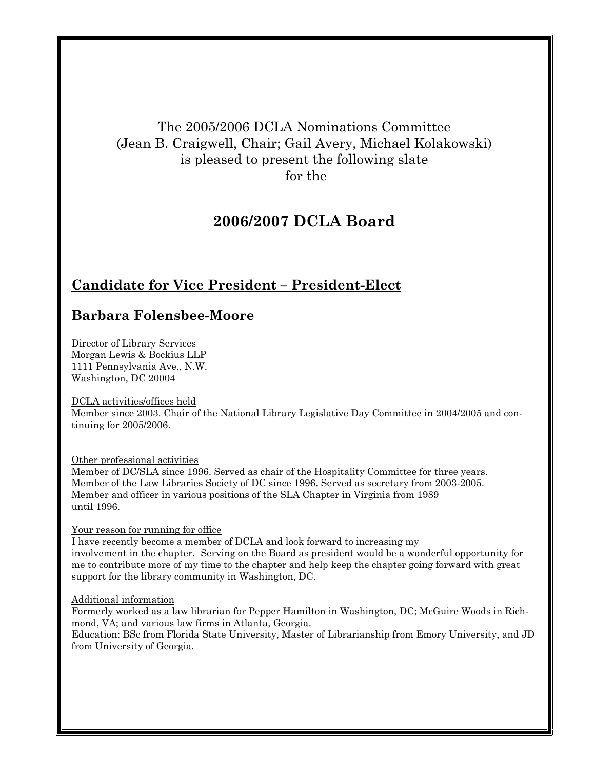### The 2005/2006 DCLA Nominations Committee (Jean B. Craigwell, Chair; Gail Avery, Michael Kolakowski) is pleased to present the following slate for the

### **2006/2007 DCLA Board**

### **Candidate for Vice President – President-Elect**

### **Barbara Folensbee-Moore**

Director of Library Services Morgan Lewis & Bockius LLP 1111 Pennsylvania Ave., N.W. Washington, DC 20004

#### DCLA activities/offices held

Member since 2003. Chair of the National Library Legislative Day Committee in 2004/2005 and continuing for 2005/2006.

#### Other professional activities

Member of DC/SLA since 1996. Served as chair of the Hospitality Committee for three years. Member of the Law Libraries Society of DC since 1996. Served as secretary from 2003-2005. Member and officer in various positions of the SLA Chapter in Virginia from 1989 until 1996.

#### Your reason for running for office

I have recently become a member of DCLA and look forward to increasing my involvement in the chapter. Serving on the Board as president would be a wonderful opportunity for me to contribute more of my time to the chapter and help keep the chapter going forward with great support for the library community in Washington, DC.

#### Additional information

Formerly worked as a law librarian for Pepper Hamilton in Washington, DC; McGuire Woods in Richmond, VA; and various law firms in Atlanta, Georgia.

Education: BSc from Florida State University, Master of Librarianship from Emory University, and JD from University of Georgia.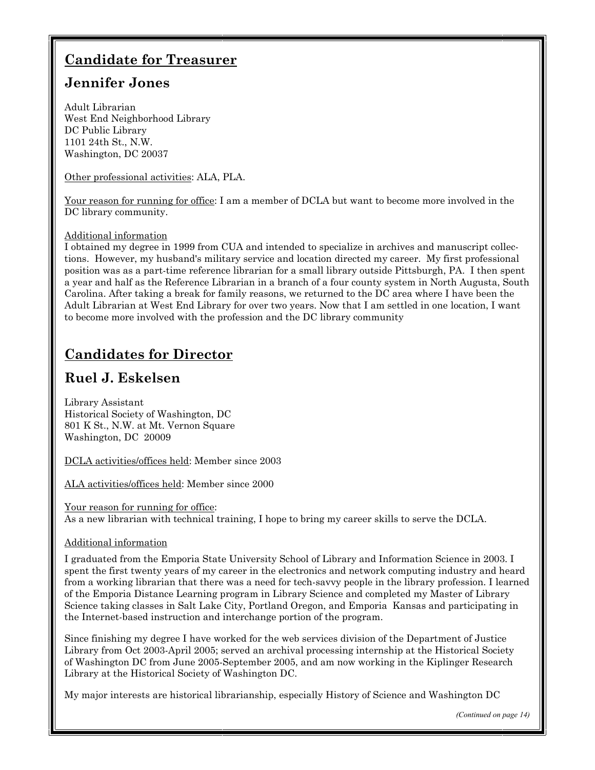### **Candidate for Treasurer**

### **Jennifer Jones**

Adult Librarian West End Neighborhood Library DC Public Library 1101 24th St., N.W. Washington, DC 20037

Other professional activities: ALA, PLA.

Your reason for running for office: I am a member of DCLA but want to become more involved in the DC library community.

#### Additional information

I obtained my degree in 1999 from CUA and intended to specialize in archives and manuscript collections. However, my husband's military service and location directed my career. My first professional position was as a part-time reference librarian for a small library outside Pittsburgh, PA. I then spent a year and half as the Reference Librarian in a branch of a four county system in North Augusta, South Carolina. After taking a break for family reasons, we returned to the DC area where I have been the Adult Librarian at West End Library for over two years. Now that I am settled in one location, I want to become more involved with the profession and the DC library community

### **Candidates for Director**

### **Ruel J. Eskelsen**

Library Assistant Historical Society of Washington, DC 801 K St., N.W. at Mt. Vernon Square Washington, DC 20009

DCLA activities/offices held: Member since 2003

ALA activities/offices held: Member since 2000

Your reason for running for office: As a new librarian with technical training, I hope to bring my career skills to serve the DCLA.

#### Additional information

I graduated from the Emporia State University School of Library and Information Science in 2003. I spent the first twenty years of my career in the electronics and network computing industry and heard from a working librarian that there was a need for tech-savvy people in the library profession. I learned of the Emporia Distance Learning program in Library Science and completed my Master of Library Science taking classes in Salt Lake City, Portland Oregon, and Emporia Kansas and participating in the Internet-based instruction and interchange portion of the program.

Since finishing my degree I have worked for the web services division of the Department of Justice Library from Oct 2003-April 2005; served an archival processing internship at the Historical Society of Washington DC from June 2005-September 2005, and am now working in the Kiplinger Research Library at the Historical Society of Washington DC.

My major interests are historical librarianship, especially History of Science and Washington DC

*(Continued on page 14)*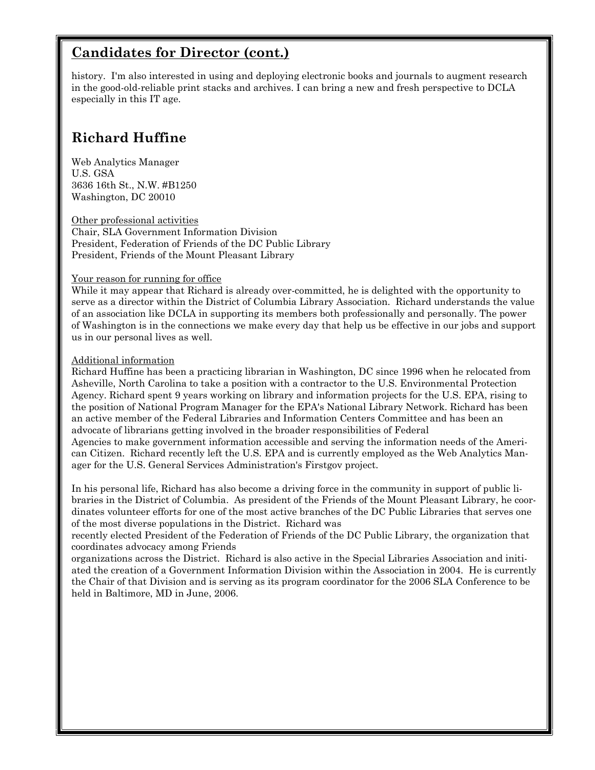### **Candidates for Director (cont.)**

history. I'm also interested in using and deploying electronic books and journals to augment research in the good-old-reliable print stacks and archives. I can bring a new and fresh perspective to DCLA especially in this IT age.

### **Richard Huffine**

Web Analytics Manager U.S. GSA 3636 16th St., N.W. #B1250 Washington, DC 20010

Other professional activities Chair, SLA Government Information Division President, Federation of Friends of the DC Public Library President, Friends of the Mount Pleasant Library

#### Your reason for running for office

While it may appear that Richard is already over-committed, he is delighted with the opportunity to serve as a director within the District of Columbia Library Association. Richard understands the value of an association like DCLA in supporting its members both professionally and personally. The power of Washington is in the connections we make every day that help us be effective in our jobs and support us in our personal lives as well.

#### Additional information

Richard Huffine has been a practicing librarian in Washington, DC since 1996 when he relocated from Asheville, North Carolina to take a position with a contractor to the U.S. Environmental Protection Agency. Richard spent 9 years working on library and information projects for the U.S. EPA, rising to the position of National Program Manager for the EPA's National Library Network. Richard has been an active member of the Federal Libraries and Information Centers Committee and has been an advocate of librarians getting involved in the broader responsibilities of Federal Agencies to make government information accessible and serving the information needs of the American Citizen. Richard recently left the U.S. EPA and is currently employed as the Web Analytics Manager for the U.S. General Services Administration's Firstgov project.

In his personal life, Richard has also become a driving force in the community in support of public libraries in the District of Columbia. As president of the Friends of the Mount Pleasant Library, he coordinates volunteer efforts for one of the most active branches of the DC Public Libraries that serves one of the most diverse populations in the District. Richard was

recently elected President of the Federation of Friends of the DC Public Library, the organization that coordinates advocacy among Friends

organizations across the District. Richard is also active in the Special Libraries Association and initiated the creation of a Government Information Division within the Association in 2004. He is currently the Chair of that Division and is serving as its program coordinator for the 2006 SLA Conference to be held in Baltimore, MD in June, 2006.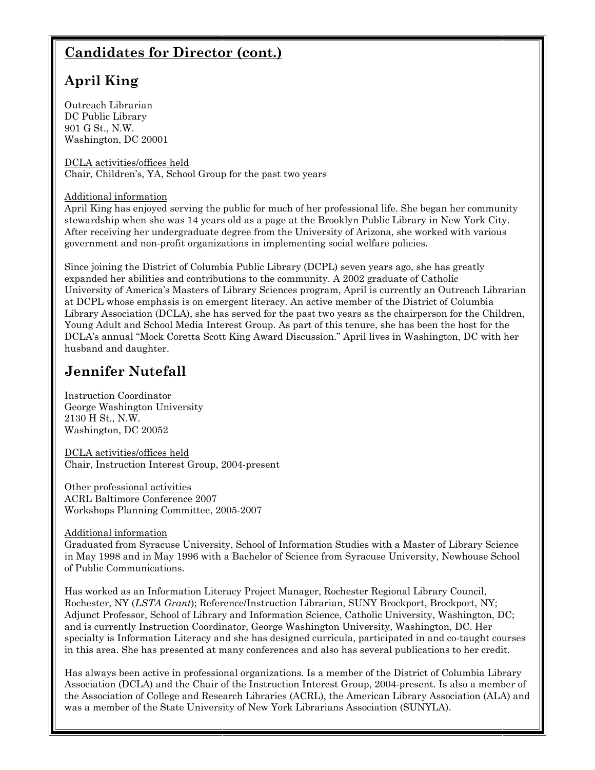### **Candidates for Director (cont.)**

### **April King**

Outreach Librarian DC Public Library 901 G St., N.W. Washington, DC 20001

DCLA activities/offices held Chair, Children's, YA, School Group for the past two years

#### Additional information

April King has enjoyed serving the public for much of her professional life. She began her community stewardship when she was 14 years old as a page at the Brooklyn Public Library in New York City. After receiving her undergraduate degree from the University of Arizona, she worked with various government and non-profit organizations in implementing social welfare policies.

Since joining the District of Columbia Public Library (DCPL) seven years ago, she has greatly expanded her abilities and contributions to the community. A 2002 graduate of Catholic University of America's Masters of Library Sciences program, April is currently an Outreach Librarian at DCPL whose emphasis is on emergent literacy. An active member of the District of Columbia Library Association (DCLA), she has served for the past two years as the chairperson for the Children, Young Adult and School Media Interest Group. As part of this tenure, she has been the host for the DCLA's annual "Mock Coretta Scott King Award Discussion." April lives in Washington, DC with her husband and daughter.

### **Jennifer Nutefall**

Instruction Coordinator George Washington University 2130 H St., N.W. Washington, DC 20052

DCLA activities/offices held Chair, Instruction Interest Group, 2004-present

Other professional activities ACRL Baltimore Conference 2007 Workshops Planning Committee, 2005-2007

Additional information

Graduated from Syracuse University, School of Information Studies with a Master of Library Science in May 1998 and in May 1996 with a Bachelor of Science from Syracuse University, Newhouse School of Public Communications.

Has worked as an Information Literacy Project Manager, Rochester Regional Library Council, Rochester, NY (*LSTA Grant*); Reference/Instruction Librarian, SUNY Brockport, Brockport, NY; Adjunct Professor, School of Library and Information Science, Catholic University, Washington, DC; and is currently Instruction Coordinator, George Washington University, Washington, DC. Her specialty is Information Literacy and she has designed curricula, participated in and co-taught courses in this area. She has presented at many conferences and also has several publications to her credit.

Has always been active in professional organizations. Is a member of the District of Columbia Library Association (DCLA) and the Chair of the Instruction Interest Group, 2004-present. Is also a member of the Association of College and Research Libraries (ACRL), the American Library Association (ALA) and was a member of the State University of New York Librarians Association (SUNYLA).